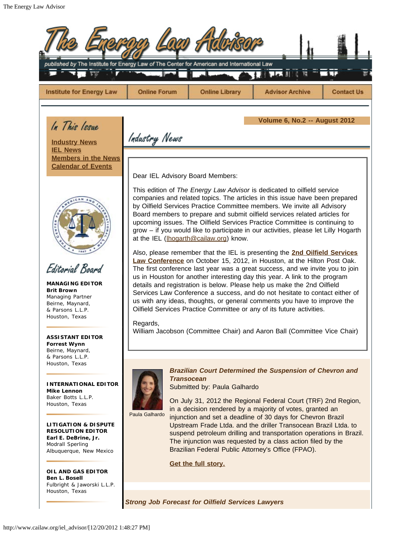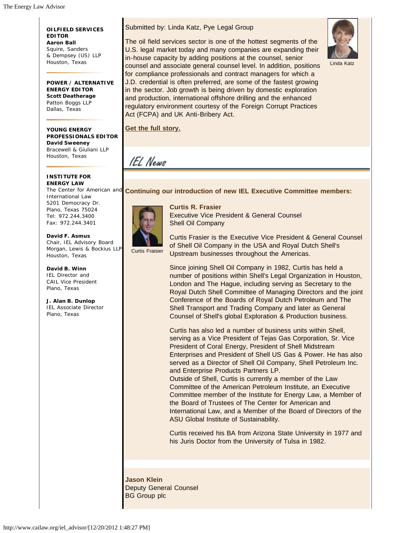**OILFIELD SERVICES EDITOR Aaron Ball** Squire, Sanders & Dempsey (US) LLP Houston, Texas

**POWER / ALTERNATIVE ENERGY EDITOR Scott Deatherage** Patton Boggs LLP Dallas, Texas

**YOUNG ENERGY PROFESSIONALS EDITOR David Sweeney** Bracewell & Giuliani LLP Houston, Texas

**INSTITUTE FOR ENERGY LAW**

International Law 5201 Democracy Dr. Plano, Texas 75024 Tel: 972.244.3400 Fax: 972.244.3401

**David F. Asmus** Chair, IEL Advisory Board Morgan, Lewis & Bockius LLP Houston, Texas

**David B. Winn** IEL Director and CAIL Vice President Plano, Texas

**J. Alan B. Dunlop** IEL Associate Director Plano, Texas



**Curtis R. Frasier**

The oil field services sector is one of the hottest segments of the U.S. legal market today and many companies are expanding their in-house capacity by adding positions at the counsel, senior counsel and associate general counsel level. In addition, positions for compliance professionals and contract managers for which a J.D. credential is often preferred, are some of the fastest growing in the sector. Job growth is being driven by domestic exploration and production, international offshore drilling and the enhanced regulatory environment courtesy of the Foreign Corrupt Practices Act (FCPA) and UK Anti-Bribery Act.

**Get the full story.**

IEL News

The Center for American and **Continuing our introduction of new IEL Executive Committee members:** 

Executive Vice President & General Counsel



Curtis Fraisier

Shell Oil Company

Curtis Frasier is the Executive Vice President & General Counsel of Shell Oil Company in the USA and Royal Dutch Shell's Upstream businesses throughout the Americas.

Since joining Shell Oil Company in 1982, Curtis has held a number of positions within Shell's Legal Organization in Houston, London and The Hague, including serving as Secretary to the Royal Dutch Shell Committee of Managing Directors and the joint Conference of the Boards of Royal Dutch Petroleum and The Shell Transport and Trading Company and later as General Counsel of Shell's global Exploration & Production business.

Curtis has also led a number of business units within Shell, serving as a Vice President of Tejas Gas Corporation, Sr. Vice President of Coral Energy, President of Shell Midstream Enterprises and President of Shell US Gas & Power. He has also served as a Director of Shell Oil Company, Shell Petroleum Inc. and Enterprise Products Partners LP.

Outside of Shell, Curtis is currently a member of the Law Committee of the American Petroleum Institute, an Executive Committee member of the Institute for Energy Law, a Member of the Board of Trustees of The Center for American and International Law, and a Member of the Board of Directors of the ASU Global Institute of Sustainability.

Curtis received his BA from Arizona State University in 1977 and his Juris Doctor from the University of Tulsa in 1982.

**Jason Klein** Deputy General Counsel BG Group plc



Linda Katz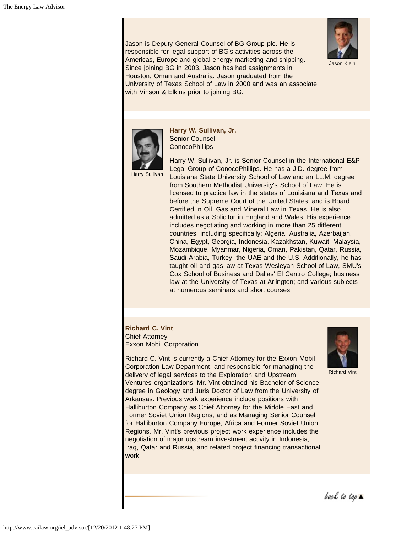

Jason is Deputy General Counsel of BG Group plc. He is responsible for legal support of BG's activities across the Americas, Europe and global energy marketing and shipping. Since joining BG in 2003, Jason has had assignments in Houston, Oman and Australia. Jason graduated from the University of Texas School of Law in 2000 and was an associate with Vinson & Elkins prior to joining BG.



**Harry W. Sullivan, Jr.** Senior Counsel **ConocoPhillips** 

Harry Sullivan

Harry W. Sullivan, Jr. is Senior Counsel in the International E&P Legal Group of ConocoPhillips. He has a J.D. degree from Louisiana State University School of Law and an LL.M. degree from Southern Methodist University's School of Law. He is licensed to practice law in the states of Louisiana and Texas and before the Supreme Court of the United States; and is Board Certified in Oil, Gas and Mineral Law in Texas. He is also admitted as a Solicitor in England and Wales. His experience includes negotiating and working in more than 25 different countries, including specifically: Algeria, Australia, Azerbaijan, China, Egypt, Georgia, Indonesia, Kazakhstan, Kuwait, Malaysia, Mozambique, Myanmar, Nigeria, Oman, Pakistan, Qatar, Russia, Saudi Arabia, Turkey, the UAE and the U.S. Additionally, he has taught oil and gas law at Texas Wesleyan School of Law, SMU's Cox School of Business and Dallas' El Centro College; business law at the University of Texas at Arlington; and various subjects at numerous seminars and short courses.

## **Richard C. Vint** Chief Attorney Exxon Mobil Corporation



Richard Vint

Corporation Law Department, and responsible for managing the delivery of legal services to the Exploration and Upstream Ventures organizations. Mr. Vint obtained his Bachelor of Science degree in Geology and Juris Doctor of Law from the University of Arkansas. Previous work experience include positions with Halliburton Company as Chief Attorney for the Middle East and Former Soviet Union Regions, and as Managing Senior Counsel for Halliburton Company Europe, Africa and Former Soviet Union Regions. Mr. Vint's previous project work experience includes the negotiation of major upstream investment activity in Indonesia, Iraq, Qatar and Russia, and related project financing transactional work.

Richard C. Vint is currently a Chief Attorney for the Exxon Mobil

back to top  $\blacktriangle$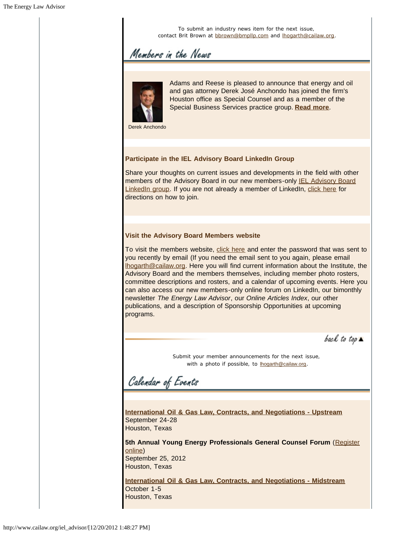To submit an industry news item for the next issue, contact Brit Brown at bbrown@bmpllp.com and lhogarth@cailaw.org.

## Members in the News



Adams and Reese is pleased to announce that energy and oil and gas attorney Derek José Anchondo has joined the firm's Houston office as Special Counsel and as a member of the Special Business Services practice group. **Read more**.

Derek Anchondo

## **Participate in the IEL Advisory Board LinkedIn Group**

Share your thoughts on current issues and developments in the field with other members of the Advisory Board in our new members-only IEL Advisory Board LinkedIn group. If you are not already a member of LinkedIn, click here for directions on how to join.

## **Visit the Advisory Board Members website**

To visit the members website, click here and enter the password that was sent to you recently by email (If you need the email sent to you again, please email lhogarth@cailaw.org. Here you will find current information about the Institute, the Advisory Board and the members themselves, including member photo rosters, committee descriptions and rosters, and a calendar of upcoming events. Here you can also access our new members-only online forum on LinkedIn, our bimonthly newsletter *The Energy Law Advisor*, our *Online Articles Index*, our other publications, and a description of Sponsorship Opportunities at upcoming programs.

back to top **A** 

Submit your member announcements for the next issue, with a photo if possible, to **lhogarth@cailaw.org**.

Calendar of Events

**International Oil & Gas Law, Contracts, and Negotiations - Upstream** September 24-28 Houston, Texas

**5th Annual Young Energy Professionals General Counsel Forum** (Register online) September 25, 2012

Houston, Texas

**International Oil & Gas Law, Contracts, and Negotiations - Midstream** October 1-5 Houston, Texas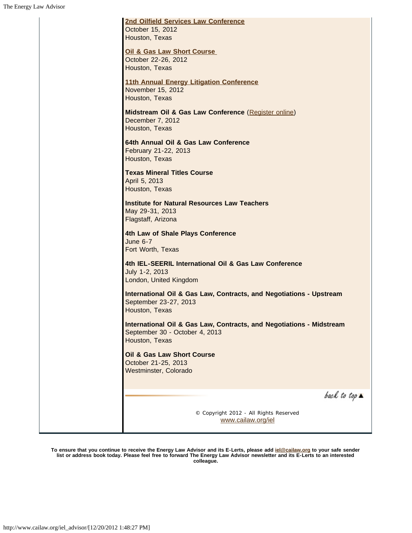| 2nd Oilfield Services Law Conference<br>October 15, 2012                 |
|--------------------------------------------------------------------------|
| Houston, Texas                                                           |
|                                                                          |
| Oil & Gas Law Short Course                                               |
| October 22-26, 2012                                                      |
| Houston, Texas                                                           |
| 11th Annual Energy Litigation Conference                                 |
| November 15, 2012                                                        |
| Houston, Texas                                                           |
|                                                                          |
| Midstream Oil & Gas Law Conference (Register online)<br>December 7, 2012 |
| Houston, Texas                                                           |
|                                                                          |
| 64th Annual Oil & Gas Law Conference                                     |
| February 21-22, 2013                                                     |
| Houston, Texas                                                           |
| <b>Texas Mineral Titles Course</b>                                       |
| April 5, 2013                                                            |
| Houston, Texas                                                           |
| <b>Institute for Natural Resources Law Teachers</b>                      |
| May 29-31, 2013                                                          |
| Flagstaff, Arizona                                                       |
|                                                                          |
| 4th Law of Shale Plays Conference<br><b>June 6-7</b>                     |
| Fort Worth, Texas                                                        |
|                                                                          |
| 4th IEL-SEERIL International Oil & Gas Law Conference                    |
| July 1-2, 2013<br>London, United Kingdom                                 |
|                                                                          |
| International Oil & Gas Law, Contracts, and Negotiations - Upstream      |
| September 23-27, 2013                                                    |
| Houston, Texas                                                           |
| International Oil & Gas Law, Contracts, and Negotiations - Midstream     |
| September 30 - October 4, 2013                                           |
| Houston, Texas                                                           |
| Oil & Gas Law Short Course                                               |
| October 21-25, 2013                                                      |
| Westminster, Colorado                                                    |
|                                                                          |
|                                                                          |
| back to top $\blacktriangle$                                             |
|                                                                          |
| © Copyright 2012 - All Rights Reserved<br>www.cailaw.org/iel             |
|                                                                          |
|                                                                          |

**To ensure that you continue to receive the Energy Law Advisor and its E-Lerts, please add iel@cailaw.org to your safe sender list or address book today. Please feel free to forward The Energy Law Advisor newsletter and its E-Lerts to an interested colleague.**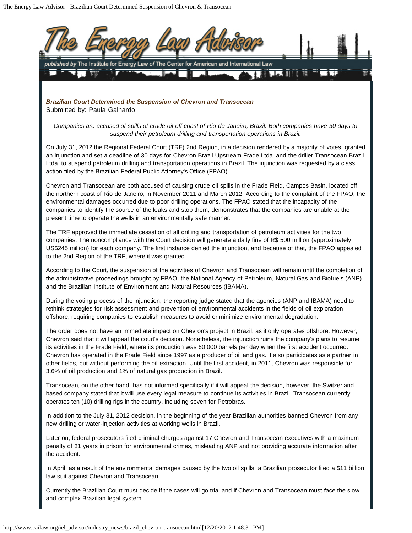